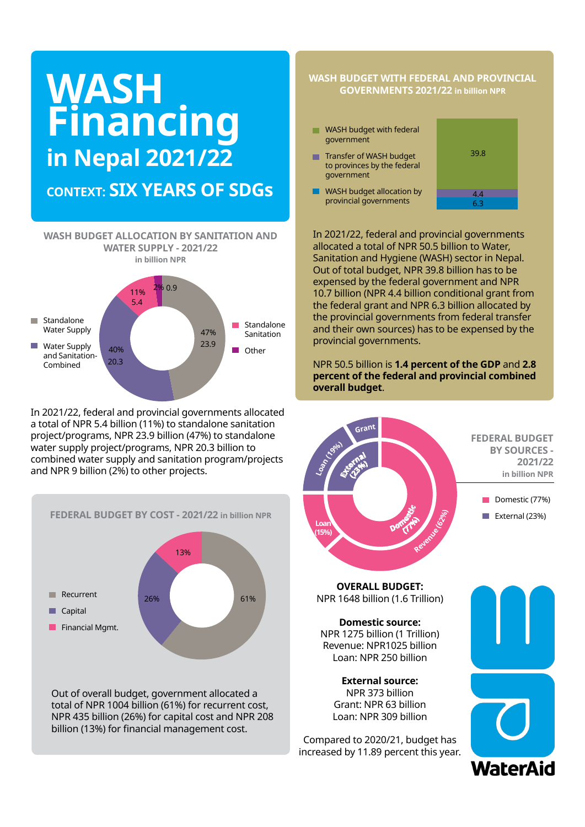# **WASH Financing in Nepal 2021/22**

# **CONTEXT: SIX YEARS OF SDGs**

**WASH BUDGET ALLOCATION BY SANITATION AND WATER SUPPLY - 2021/22 in billion NPR** 5.4  $2%0.9$ 11%



In 2021/22, federal and provincial governments allocated a total of NPR 5.4 billion (11%) to standalone sanitation project/programs, NPR 23.9 billion (47%) to standalone water supply project/programs, NPR 20.3 billion to combined water supply and sanitation program/projects and NPR 9 billion (2%) to other projects.



total of NPR 1004 billion (61%) for recurrent cost, NPR 435 billion (26%) for capital cost and NPR 208 billion (13%) for financial management cost.

### **WASH BUDGET WITH FEDERAL AND PROVINCIAL GOVERNMENTS 2021/22 in billion NPR**

- WASH budget with federal government
- **Transfer of WASH budget** to provinces by the federal government
- **WASH budget allocation by** provincial governments



In 2021/22, federal and provincial governments allocated a total of NPR 50.5 billion to Water, Sanitation and Hygiene (WASH) sector in Nepal. Out of total budget, NPR 39.8 billion has to be expensed by the federal government and NPR 10.7 billion (NPR 4.4 billion conditional grant from the federal grant and NPR 6.3 billion allocated by the provincial governments from federal transfer and their own sources) has to be expensed by the provincial governments.

NPR 50.5 billion is **1.4 percent of the GDP** and **2.8 percent of the federal and provincial combined overall budget**.

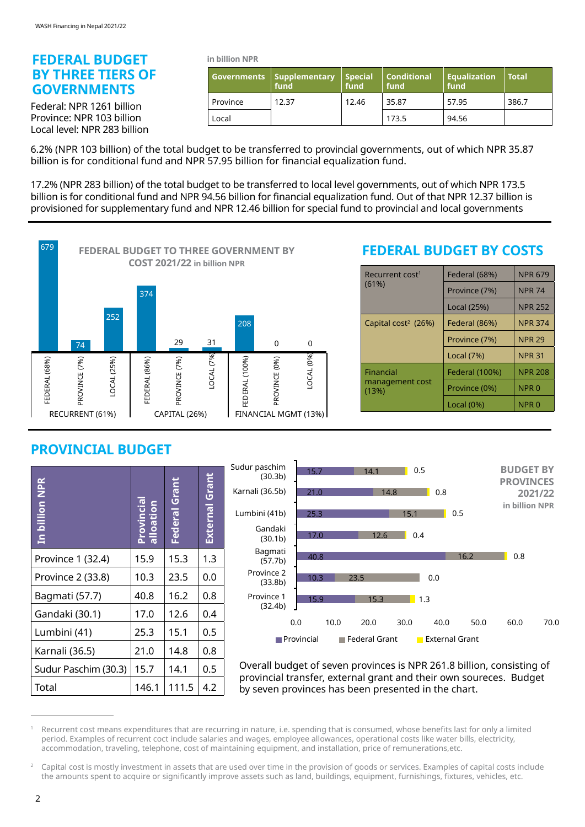### **FEDERAL BUDGET BY THREE TIERS OF GOVERNMENTS**

Federal: NPR 1261 billion Province: NPR 103 billion Local level: NPR 283 billion **in billion NPR**

|          | Governments   Supplementary '<br>fund | $\vert$ Special<br>fund | <b>Conditional</b><br>fund | <b>Equalization</b><br>fund | l Total |
|----------|---------------------------------------|-------------------------|----------------------------|-----------------------------|---------|
| Province | 12.37                                 | 12.46                   | 35.87                      | 57.95                       | 386.7   |
| Local    |                                       |                         | 173.5                      | 94.56                       |         |

6.2% (NPR 103 billion) of the total budget to be transferred to provincial governments, out of which NPR 35.87 billion is for conditional fund and NPR 57.95 billion for financial equalization fund.

17.2% (NPR 283 billion) of the total budget to be transferred to local level governments, out of which NPR 173.5 billion is for conditional fund and NPR 94.56 billion for financial equalization fund. Out of that NPR 12.37 billion is provisioned for supplementary fund and NPR 12.46 billion for special fund to provincial and local governments



## **FEDERAL BUDGET BY COSTS**

| Recurrent cost <sup>1</sup><br>(61%) | Federal (68%)  | <b>NPR 679</b>   |
|--------------------------------------|----------------|------------------|
|                                      | Province (7%)  | <b>NPR 74</b>    |
|                                      | Local (25%)    | <b>NPR 252</b>   |
| Capital cost <sup>2</sup> (26%)      | Federal (86%)  | <b>NPR 374</b>   |
|                                      | Province (7%)  | <b>NPR 29</b>    |
|                                      | Local (7%)     | <b>NPR 31</b>    |
| Financial                            | Federal (100%) | <b>NPR 208</b>   |
| management cost<br>(13%)             | Province (0%)  | NPR <sub>0</sub> |
|                                      | Local $(0\%)$  | NPR 0            |

## **PROVINCIAL BUDGET**

| In billion NPR       | alloation | Federal Grant | External Grant |
|----------------------|-----------|---------------|----------------|
| Province 1 (32.4)    | 15.9      | 15.3          | 1.3            |
| Province 2 (33.8)    | 10.3      | 23.5          | 0.0            |
| Bagmati (57.7)       | 40.8      | 16.2          | 0.8            |
| Gandaki (30.1)       | 17.0      | 12.6          | 0.4            |
| Lumbini (41)         | 25.3      | 15.1          | 0.5            |
| Karnali (36.5)       | 21.0      | 14.8          | 0.8            |
| Sudur Paschim (30.3) | 15.7      | 14.1          | 0.5            |
| Total                | 146.1     | 111.5         | 4.2            |



Overall budget of seven provinces is NPR 261.8 billion, consisting of provincial transfer, external grant and their own soureces. Budget by seven provinces has been presented in the chart.

Recurrent cost means expenditures that are recurring in nature, i.e. spending that is consumed, whose benefits last for only a limited period. Examples of recurrent coct include salaries and wages, employee allowances, operational costs like water bills, electricity, accommodation, traveling, telephone, cost of maintaining equipment, and installation, price of remunerations,etc.

<sup>2</sup> Capital cost is mostly investment in assets that are used over time in the provision of goods or services. Examples of capital costs include the amounts spent to acquire or significantly improve assets such as land, buildings, equipment, furnishings, fixtures, vehicles, etc.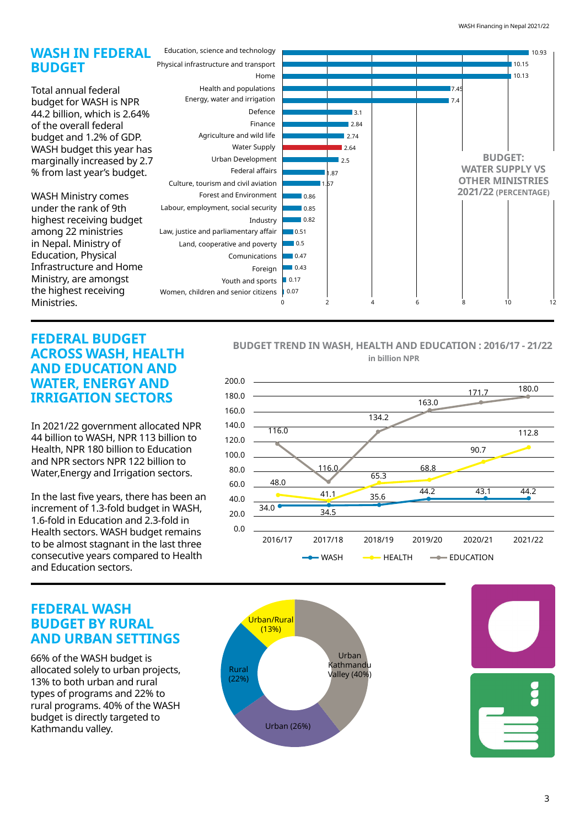

### **FEDERAL BUDGET ACROSS WASH, HEALTH AND EDUCATION AND WATER, ENERGY AND IRRIGATION SECTORS**

In 2021/22 government allocated NPR 44 billion to WASH, NPR 113 billion to Health, NPR 180 billion to Education and NPR sectors NPR 122 billion to Health, NPR 180 billion to Education<br>and NPR sectors NPR 122 billion to<br>Water,Energy and Irrigation sectors.

In the last five years, there has been an **in Nepal 2019/20 in Nepal 2019/20**  increment of 1.3-fold budget in WASH, 1.6-fold in Education and 2.3-fold in  $\begin{bmatrix} 20.0 \\ 0.0 \end{bmatrix}$ Health sectors. WASH budget remains to be almost stagnant in the last three consecutive years compared to Health and Education sectors.

### **BUDGET TREND IN WASH, HEALTH AND EDUCATION : 2016/17 - 21/22 in billion NPR**



### **FEDERAL WASH BUDGET BY RURAL AND URBAN SETTINGS**

**Internal revenue: 77% (NPR 1176 billion)** allocated solely to urban projects, 13% to both urban and rural types of programs and 22% to rural programs. 40% of the WASH budget is directly targeted to Kathmandu valley.

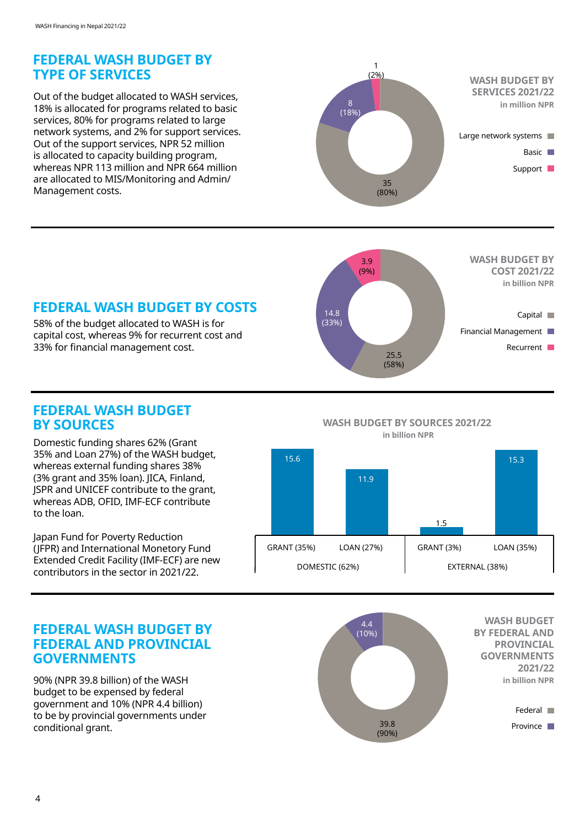## **FEDERAL WASH BUDGET BY TYPE OF SERVICES**

Out of the budget allocated to WASH services, 18% is allocated for programs related to basic services, 80% for programs related to large network systems, and 2% for support services. Out of the support services, NPR 52 million is allocated to capacity building program, whereas NPR 113 million and NPR 664 million are allocated to MIS/Monitoring and Admin/ Management costs.



# **FEDERAL WASH BUDGET BY COSTS**

58% of the budget allocated to WASH is for capital cost, whereas 9% for recurrent cost and 33% for financial management cost.



### **FEDERAL WASH BUDGET BY SOURCES**

Domestic funding shares 62% (Grant 35% and Loan 27%) of the WASH budget, whereas external funding shares 38% (3% grant and 35% loan). JICA, Finland, JSPR and UNICEF contribute to the grant, whereas ADB, OFID, IMF-ECF contribute to the loan.

Japan Fund for Poverty Reduction (JFPR) and International Monetory Fund Extended Credit Facility (IMF-ECF) are new contributors in the sector in 2021/22.

### **WASH BUDGET BY SOURCES 2021/22 in billion NPR**



### **FEDERAL WASH BUDGET BY FEDERAL AND PROVINCIAL GOVERNMENTS**

90% (NPR 39.8 billion) of the WASH budget to be expensed by federal government and 10% (NPR 4.4 billion) to be by provincial governments under conditional grant.

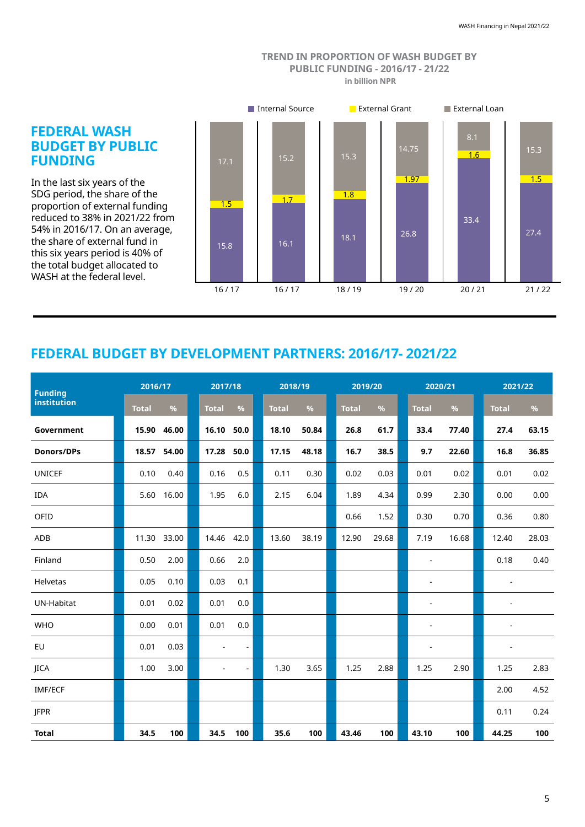#### **TREND IN PROPORTION OF WASH BUDGET BY PUBLIC FUNDING - 2016/17 - 21/22 in billion NPR**



# **FEDERAL BUDGET BY DEVELOPMENT PARTNERS: 2016/17- 2021/22**

| <b>Funding</b>    |              | 2016/17 |                          | 2017/18<br>2018/19 |              |       | 2019/20      |       | 2020/21                      |       | 2021/22                  |       |
|-------------------|--------------|---------|--------------------------|--------------------|--------------|-------|--------------|-------|------------------------------|-------|--------------------------|-------|
| institution       | <b>Total</b> | %       | <b>Total</b>             | %                  | <b>Total</b> | $\%$  | <b>Total</b> | %     | <b>Total</b>                 | %     | <b>Total</b>             | $\%$  |
| Government        | 15.90        | 46.00   | 16.10                    | 50.0               | 18.10        | 50.84 | 26.8         | 61.7  | 33.4                         | 77.40 | 27.4                     | 63.15 |
| <b>Donors/DPs</b> | 18.57        | 54.00   | 17.28                    | 50.0               | 17.15        | 48.18 | 16.7         | 38.5  | 9.7                          | 22.60 | 16.8                     | 36.85 |
| UNICEF            | 0.10         | 0.40    | 0.16                     | 0.5                | 0.11         | 0.30  | 0.02         | 0.03  | 0.01                         | 0.02  | 0.01                     | 0.02  |
| <b>IDA</b>        | 5.60         | 16.00   | 1.95                     | 6.0                | 2.15         | 6.04  | 1.89         | 4.34  | 0.99                         | 2.30  | 0.00                     | 0.00  |
| OFID              |              |         |                          |                    |              |       | 0.66         | 1.52  | 0.30                         | 0.70  | 0.36                     | 0.80  |
| <b>ADB</b>        | 11.30 33.00  |         | 14.46                    | 42.0               | 13.60        | 38.19 | 12.90        | 29.68 | 7.19                         | 16.68 | 12.40                    | 28.03 |
| Finland           | 0.50         | 2.00    | 0.66                     | 2.0                |              |       |              |       | $\qquad \qquad \blacksquare$ |       | 0.18                     | 0.40  |
| Helvetas          | 0.05         | 0.10    | 0.03                     | 0.1                |              |       |              |       | $\overline{a}$               |       | $\blacksquare$           |       |
| UN-Habitat        | 0.01         | 0.02    | 0.01                     | 0.0                |              |       |              |       |                              |       | $\overline{\phantom{a}}$ |       |
| <b>WHO</b>        | 0.00         | 0.01    | 0.01                     | 0.0                |              |       |              |       |                              |       | $\overline{a}$           |       |
| EU                | 0.01         | 0.03    | $\overline{\phantom{a}}$ | $\frac{1}{2}$      |              |       |              |       | $\overline{\phantom{m}}$     |       | $\overline{a}$           |       |
| <b>IICA</b>       | 1.00         | 3.00    | $\overline{a}$           | $\frac{1}{2}$      | 1.30         | 3.65  | 1.25         | 2.88  | 1.25                         | 2.90  | 1.25                     | 2.83  |
| <b>IMF/ECF</b>    |              |         |                          |                    |              |       |              |       |                              |       | 2.00                     | 4.52  |
| <b>JFPR</b>       |              |         |                          |                    |              |       |              |       |                              |       | 0.11                     | 0.24  |
| <b>Total</b>      | 34.5         | 100     | 34.5                     | 100                | 35.6         | 100   | 43.46        | 100   | 43.10                        | 100   | 44.25                    | 100   |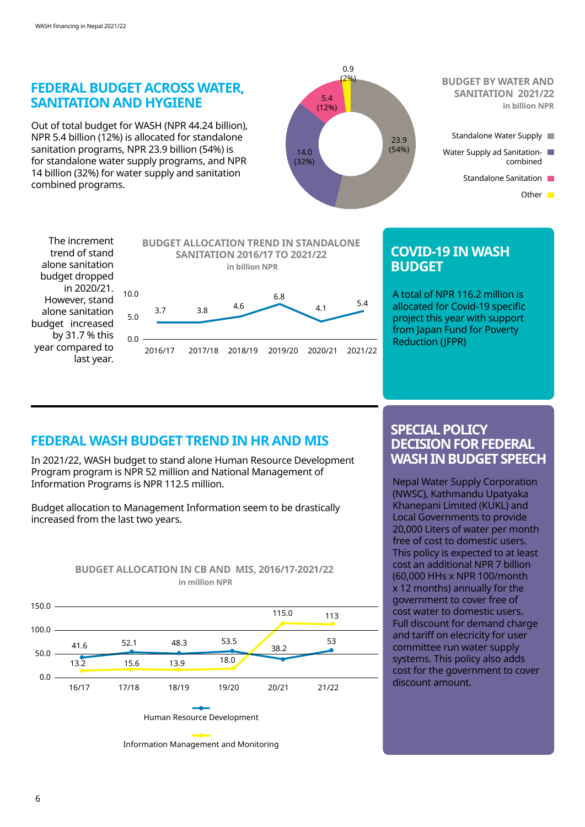

trend of stand alone sanitation budget dropped in 2020/21. However, stand alone sanitation budget increased by 31.7 % this year compared to last year.



### **COVID-19 IN WASH BUDGET**

A total of NPR 116.2 million is allocated for Covid-19 specific project this year with support from Japan Fund for Poverty Reduction (JFPR)

## **FEDERAL WASH BUDGET TREND IN HR AND MIS**

In 2021/22, WASH budget to stand alone Human Resource Development Program program is NPR 52 million and National Management of Information Programs is NPR 112.5 million.

Budget allocation to Management Information seem to be drastically increased from the last two years.



# **BUDGET ALLOCATION IN CB AND MIS, 2016/17-2021/22**

### **SPECIAL POLICY DECISION FOR FEDERAL WASH IN BUDGET SPEECH**

Nepal Water Supply Corporation (NWSC), Kathmandu Upatyaka Khanepani Limited (KUKL) and Local Governments to provide 20,000 Liters of water per month free of cost to domestic users. This policy is expected to at least cost an additional NPR 7 billion (60,000 HHs x NPR 100/month x 12 months) annually for the government to cover free of cost water to domestic users. Full discount for demand charge and tariff on elecricity for user committee run water supply systems. This policy also adds cost for the government to cover discount amount.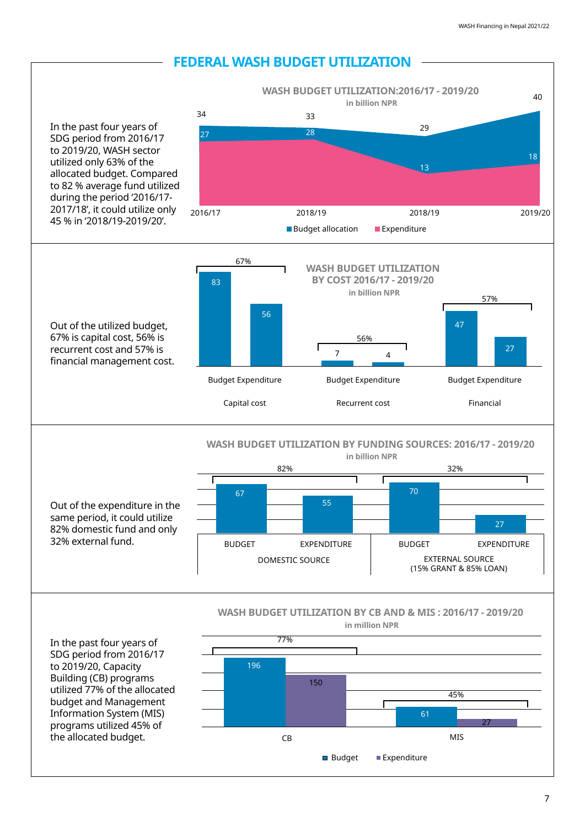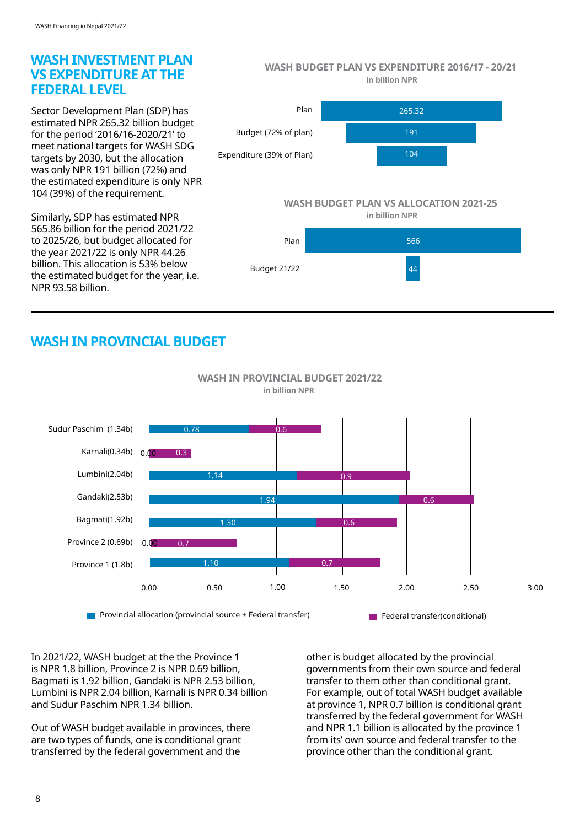### **WASH INVESTMENT PLAN VS EXPENDITURE AT THE FEDERAL LEVEL**

Sector Development Plan (SDP) has estimated NPR 265.32 billion budget for the period '2016/16-2020/21' to meet national targets for WASH SDG targets by 2030, but the allocation was only NPR 191 billion (72%) and the estimated expenditure is only NPR 104 (39%) of the requirement.

Similarly, SDP has estimated NPR 565.86 billion for the period 2021/22 to 2025/26, but budget allocated for the year 2021/22 is only NPR 44.26 billion. This allocation is 53% below the estimated budget for the year, i.e. NPR 93.58 billion.

**WASH BUDGET PLAN VS EXPENDITURE 2016/17 - 20/21 in billion NPR**



### **WASH BUDGET PLAN VS ALLOCATION 2021-25**

**in billion NPR**



# **WASH IN PROVINCIAL BUDGET**



 **WASH IN PROVINCIAL BUDGET 2021/22 in billion NPR**

In 2021/22, WASH budget at the the Province 1 is NPR 1.8 billion, Province 2 is NPR 0.69 billion, Bagmati is 1.92 billion, Gandaki is NPR 2.53 billion, Lumbini is NPR 2.04 billion, Karnali is NPR 0.34 billion and Sudur Paschim NPR 1.34 billion.

Out of WASH budget available in provinces, there are two types of funds, one is conditional grant transferred by the federal government and the

other is budget allocated by the provincial governments from their own source and federal transfer to them other than conditional grant. For example, out of total WASH budget available at province 1, NPR 0.7 billion is conditional grant transferred by the federal government for WASH and NPR 1.1 billion is allocated by the province 1 from its' own source and federal transfer to the province other than the conditional grant.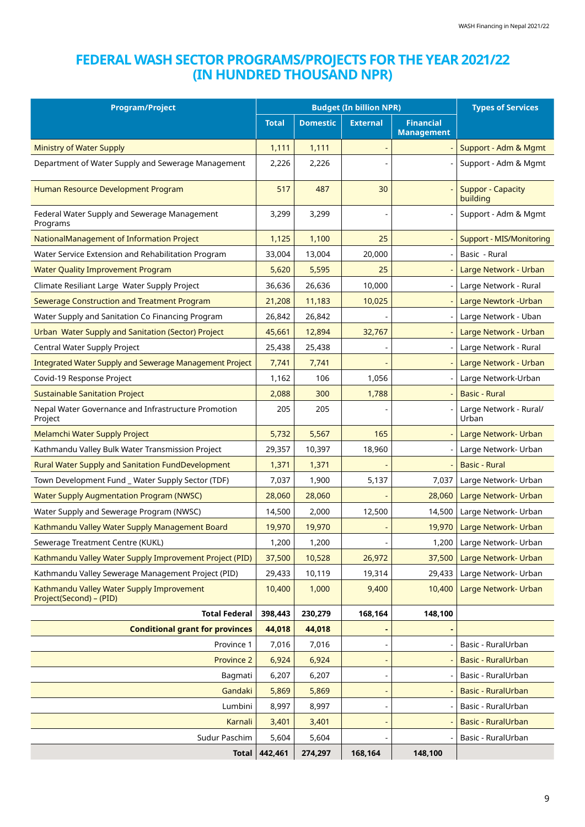## **FEDERAL WASH SECTOR PROGRAMS/PROJECTS FOR THE YEAR 2021/22 (IN HUNDRED THOUSAND NPR)**

| <b>Budget (In billion NPR)</b><br><b>Program/Project</b>             |              |                 |                 | <b>Types of Services</b>              |                                      |
|----------------------------------------------------------------------|--------------|-----------------|-----------------|---------------------------------------|--------------------------------------|
|                                                                      | <b>Total</b> | <b>Domestic</b> | <b>External</b> | <b>Financial</b><br><b>Management</b> |                                      |
| <b>Ministry of Water Supply</b>                                      | 1,111        | 1,111           |                 |                                       | Support - Adm & Mgmt                 |
| Department of Water Supply and Sewerage Management                   | 2,226        | 2,226           |                 |                                       | Support - Adm & Mgmt                 |
| Human Resource Development Program                                   | 517          | 487             | 30              |                                       | <b>Suppor - Capacity</b><br>building |
| Federal Water Supply and Sewerage Management<br>Programs             | 3,299        | 3,299           |                 |                                       | Support - Adm & Mgmt                 |
| NationalManagement of Information Project                            | 1,125        | 1,100           | 25              |                                       | <b>Support - MIS/Monitoring</b>      |
| Water Service Extension and Rehabilitation Program                   | 33,004       | 13,004          | 20,000          |                                       | Basic - Rural                        |
| <b>Water Quality Improvement Program</b>                             | 5,620        | 5,595           | 25              |                                       | Large Network - Urban                |
| Climate Resiliant Large Water Supply Project                         | 36,636       | 26,636          | 10,000          |                                       | Large Network - Rural                |
| Sewerage Construction and Treatment Program                          | 21,208       | 11,183          | 10,025          |                                       | Large Newtork - Urban                |
| Water Supply and Sanitation Co Financing Program                     | 26,842       | 26,842          |                 |                                       | Large Network - Uban                 |
| Urban Water Supply and Sanitation (Sector) Project                   | 45,661       | 12,894          | 32,767          |                                       | Large Network - Urban                |
| Central Water Supply Project                                         | 25,438       | 25,438          |                 |                                       | Large Network - Rural                |
| Integrated Water Supply and Sewerage Management Project              | 7,741        | 7,741           |                 |                                       | Large Network - Urban                |
| Covid-19 Response Project                                            | 1,162        | 106             | 1,056           |                                       | Large Network-Urban                  |
| <b>Sustainable Sanitation Project</b>                                | 2,088        | 300             | 1,788           |                                       | <b>Basic - Rural</b>                 |
| Nepal Water Governance and Infrastructure Promotion<br>Project       | 205          | 205             |                 |                                       | Large Network - Rural/<br>Urban      |
| Melamchi Water Supply Project                                        | 5,732        | 5,567           | 165             |                                       | Large Network- Urban                 |
| Kathmandu Valley Bulk Water Transmission Project                     | 29,357       | 10,397          | 18,960          |                                       | Large Network- Urban                 |
| <b>Rural Water Supply and Sanitation FundDevelopment</b>             | 1,371        | 1,371           |                 |                                       | <b>Basic - Rural</b>                 |
| Town Development Fund _ Water Supply Sector (TDF)                    | 7,037        | 1,900           | 5,137           | 7,037                                 | Large Network- Urban                 |
| <b>Water Supply Augmentation Program (NWSC)</b>                      | 28,060       | 28,060          |                 | 28,060                                | Large Network- Urban                 |
| Water Supply and Sewerage Program (NWSC)                             | 14,500       | 2,000           | 12,500          | 14,500                                | Large Network- Urban                 |
| Kathmandu Valley Water Supply Management Board                       | 19,970       | 19,970          |                 | 19,970                                | Large Network- Urban                 |
| Sewerage Treatment Centre (KUKL)                                     | 1,200        | 1,200           |                 | 1,200                                 | Large Network- Urban                 |
| Kathmandu Valley Water Supply Improvement Project (PID)              | 37,500       | 10,528          | 26,972          | 37,500                                | Large Network- Urban                 |
| Kathmandu Valley Sewerage Management Project (PID)                   | 29,433       | 10,119          | 19,314          | 29,433                                | Large Network- Urban                 |
| Kathmandu Valley Water Supply Improvement<br>Project(Second) - (PID) | 10,400       | 1,000           | 9,400           | 10,400                                | Large Network- Urban                 |
| <b>Total Federal</b>                                                 | 398,443      | 230,279         | 168,164         | 148,100                               |                                      |
| <b>Conditional grant for provinces</b>                               | 44,018       | 44,018          |                 |                                       |                                      |
| Province 1                                                           | 7,016        | 7,016           |                 |                                       | Basic - RuralUrban                   |
| Province 2                                                           | 6,924        | 6,924           |                 |                                       | Basic - RuralUrban                   |
| Bagmati                                                              | 6,207        | 6,207           |                 |                                       | Basic - RuralUrban                   |
| Gandaki                                                              | 5,869        | 5,869           |                 |                                       | Basic - RuralUrban                   |
| Lumbini                                                              | 8,997        | 8,997           |                 |                                       | Basic - RuralUrban                   |
| Karnali                                                              | 3,401        | 3,401           |                 |                                       | Basic - RuralUrban                   |
| Sudur Paschim                                                        | 5,604        | 5,604           |                 |                                       | Basic - RuralUrban                   |
| Total                                                                | 442,461      | 274,297         | 168,164         | 148,100                               |                                      |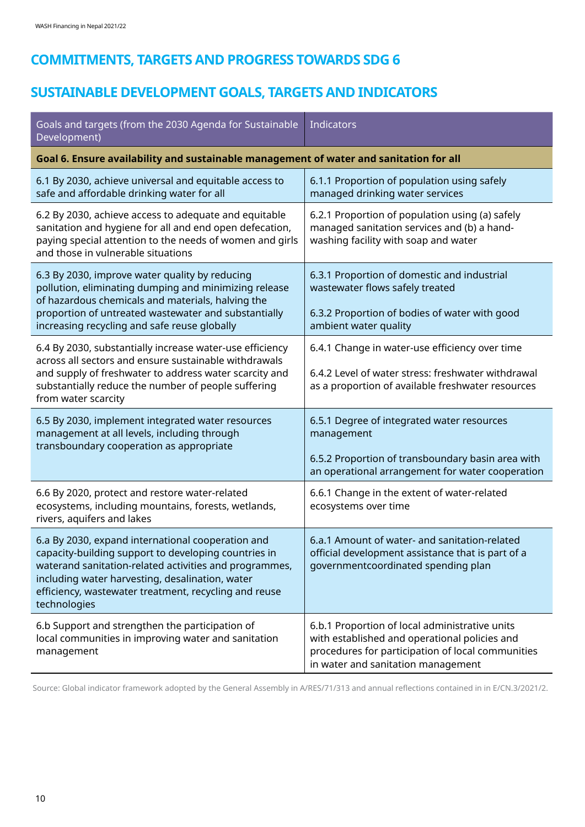# **COMMITMENTS, TARGETS AND PROGRESS TOWARDS SDG 6**

# **SUSTAINABLE DEVELOPMENT GOALS, TARGETS AND INDICATORS**

| Goals and targets (from the 2030 Agenda for Sustainable<br>Development)                                                                                                                                                                                                                         | Indicators                                                                                                                                                                                 |
|-------------------------------------------------------------------------------------------------------------------------------------------------------------------------------------------------------------------------------------------------------------------------------------------------|--------------------------------------------------------------------------------------------------------------------------------------------------------------------------------------------|
| Goal 6. Ensure availability and sustainable management of water and sanitation for all                                                                                                                                                                                                          |                                                                                                                                                                                            |
| 6.1 By 2030, achieve universal and equitable access to<br>safe and affordable drinking water for all                                                                                                                                                                                            | 6.1.1 Proportion of population using safely<br>managed drinking water services                                                                                                             |
| 6.2 By 2030, achieve access to adequate and equitable<br>sanitation and hygiene for all and end open defecation,<br>paying special attention to the needs of women and girls<br>and those in vulnerable situations                                                                              | 6.2.1 Proportion of population using (a) safely<br>managed sanitation services and (b) a hand-<br>washing facility with soap and water                                                     |
| 6.3 By 2030, improve water quality by reducing<br>pollution, eliminating dumping and minimizing release<br>of hazardous chemicals and materials, halving the<br>proportion of untreated wastewater and substantially<br>increasing recycling and safe reuse globally                            | 6.3.1 Proportion of domestic and industrial<br>wastewater flows safely treated<br>6.3.2 Proportion of bodies of water with good<br>ambient water quality                                   |
| 6.4 By 2030, substantially increase water-use efficiency<br>across all sectors and ensure sustainable withdrawals<br>and supply of freshwater to address water scarcity and<br>substantially reduce the number of people suffering<br>from water scarcity                                       | 6.4.1 Change in water-use efficiency over time<br>6.4.2 Level of water stress: freshwater withdrawal<br>as a proportion of available freshwater resources                                  |
| 6.5 By 2030, implement integrated water resources<br>management at all levels, including through<br>transboundary cooperation as appropriate                                                                                                                                                    | 6.5.1 Degree of integrated water resources<br>management<br>6.5.2 Proportion of transboundary basin area with<br>an operational arrangement for water cooperation                          |
| 6.6 By 2020, protect and restore water-related<br>ecosystems, including mountains, forests, wetlands,<br>rivers, aquifers and lakes                                                                                                                                                             | 6.6.1 Change in the extent of water-related<br>ecosystems over time                                                                                                                        |
| 6.a By 2030, expand international cooperation and<br>capacity-building support to developing countries in<br>waterand sanitation-related activities and programmes,<br>including water harvesting, desalination, water<br>efficiency, wastewater treatment, recycling and reuse<br>technologies | 6.a.1 Amount of water- and sanitation-related<br>official development assistance that is part of a<br>governmentcoordinated spending plan                                                  |
| 6.b Support and strengthen the participation of<br>local communities in improving water and sanitation<br>management                                                                                                                                                                            | 6.b.1 Proportion of local administrative units<br>with established and operational policies and<br>procedures for participation of local communities<br>in water and sanitation management |

Source: Global indicator framework adopted by the General Assembly in A/RES/71/313 and annual reflections contained in in E/CN.3/2021/2.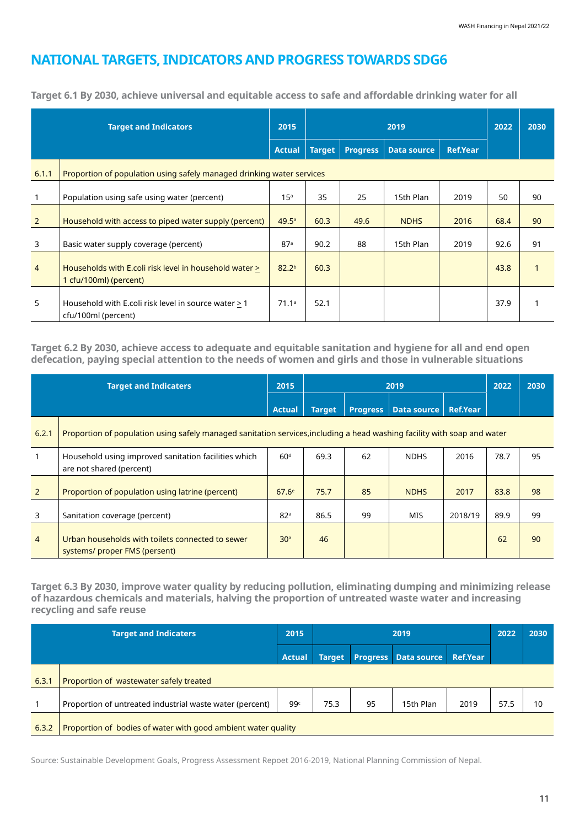## **NATIONAL TARGETS, INDICATORS AND PROGRESS TOWARDS SDG6**

| <b>Target and Indicators</b>                                                   |                                                                                  | 2015              |               | 2019            |                    |                 |      | 2030 |  |
|--------------------------------------------------------------------------------|----------------------------------------------------------------------------------|-------------------|---------------|-----------------|--------------------|-----------------|------|------|--|
|                                                                                |                                                                                  | <b>Actual</b>     | <b>Target</b> | <b>Progress</b> | <b>Data source</b> | <b>Ref.Year</b> |      |      |  |
| 6.1.1<br>Proportion of population using safely managed drinking water services |                                                                                  |                   |               |                 |                    |                 |      |      |  |
|                                                                                | Population using safe using water (percent)                                      | 15 <sup>a</sup>   | 35            | 25              | 15th Plan          | 2019            | 50   | 90   |  |
| $\overline{2}$                                                                 | Household with access to piped water supply (percent)                            | 49.5 <sup>a</sup> | 60.3          | 49.6            | <b>NDHS</b>        | 2016            | 68.4 | 90   |  |
| 3                                                                              | Basic water supply coverage (percent)                                            | 87 <sup>a</sup>   | 90.2          | 88              | 15th Plan          | 2019            | 92.6 | 91   |  |
| $\overline{4}$                                                                 | Households with E.coli risk level in household water ><br>1 cfu/100ml) (percent) | 82.2 <sup>b</sup> | 60.3          |                 |                    |                 | 43.8 |      |  |
| 5                                                                              | Household with E.coli risk level in source water > 1<br>cfu/100ml (percent)      | 71.1a             | 52.1          |                 |                    |                 | 37.9 |      |  |

**Target 6.1 By 2030, achieve universal and equitable access to safe and affordable drinking water for all**

**Target 6.2 By 2030, achieve access to adequate and equitable sanitation and hygiene for all and end open defecation, paying special attention to the needs of women and girls and those in vulnerable situations**

| <b>Target and Indicaters</b> |                                                                                                                          | 2015              | 2019   |                 |             |                 | 2022 | 2030 |  |
|------------------------------|--------------------------------------------------------------------------------------------------------------------------|-------------------|--------|-----------------|-------------|-----------------|------|------|--|
|                              |                                                                                                                          | <b>Actual</b>     | Target | <b>Progress</b> | Data source | <b>Ref.Year</b> |      |      |  |
| 6.2.1                        | Proportion of population using safely managed sanitation services, including a head washing facility with soap and water |                   |        |                 |             |                 |      |      |  |
|                              | Household using improved sanitation facilities which<br>are not shared (percent)                                         | 60 <sup>d</sup>   | 69.3   | 62              | <b>NDHS</b> | 2016            | 78.7 | 95   |  |
| 2                            | Proportion of population using latrine (percent)                                                                         | 67.6 <sup>e</sup> | 75.7   | 85              | <b>NDHS</b> | 2017            | 83.8 | 98   |  |
| 3                            | Sanitation coverage (percent)                                                                                            | 82 <sup>a</sup>   | 86.5   | 99              | MIS         | 2018/19         | 89.9 | 99   |  |
| $\overline{4}$               | Urban households with toilets connected to sewer<br>systems/ proper FMS (persent)                                        | 30 <sup>a</sup>   | 46     |                 |             |                 | 62   | 90   |  |

**Target 6.3 By 2030, improve water quality by reducing pollution, eliminating dumping and minimizing release of hazardous chemicals and materials, halving the proportion of untreated waste water and increasing recycling and safe reuse**

| <b>Target and Indicaters</b> |                                                               | 2015            | 2019          |    |                             |                 |      | 2030 |
|------------------------------|---------------------------------------------------------------|-----------------|---------------|----|-----------------------------|-----------------|------|------|
|                              |                                                               | <b>Actual</b>   | <b>Target</b> |    | <b>Progress</b> Data source | <b>Ref.Year</b> |      |      |
| 6.3.1                        | Proportion of wastewater safely treated                       |                 |               |    |                             |                 |      |      |
|                              | Proportion of untreated industrial waste water (percent)      | 99 <sup>c</sup> | 75.3          | 95 | 15th Plan                   | 2019            | 57.5 | 10   |
| 6.3.2                        | Proportion of bodies of water with good ambient water quality |                 |               |    |                             |                 |      |      |

Source: Sustainable Development Goals, Progress Assessment Repoet 2016-2019, National Planning Commission of Nepal.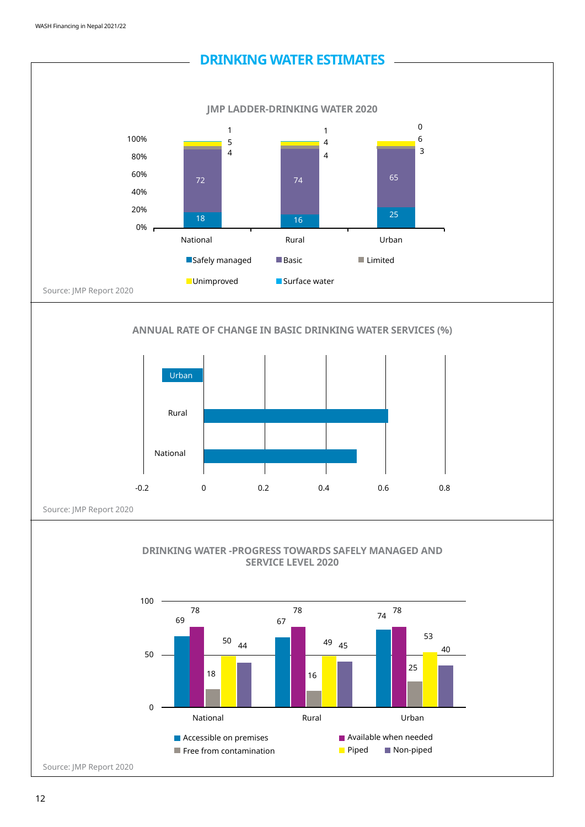

### 12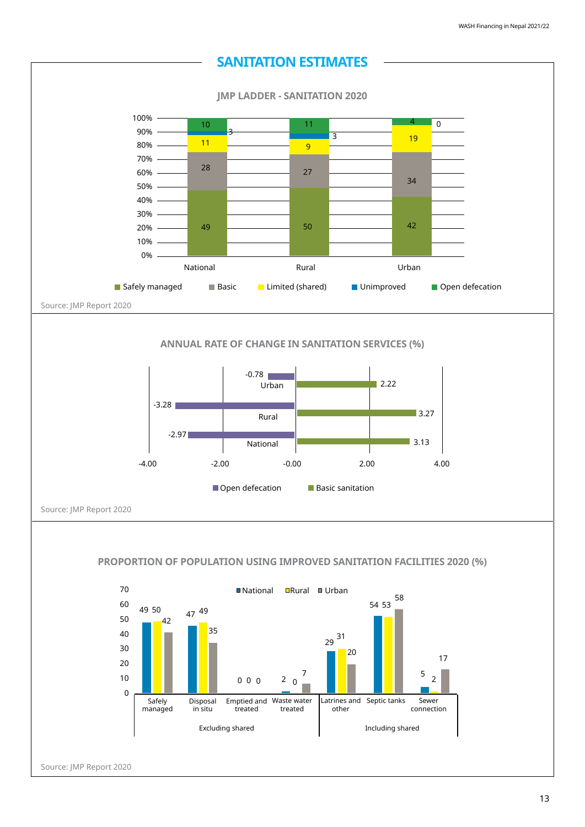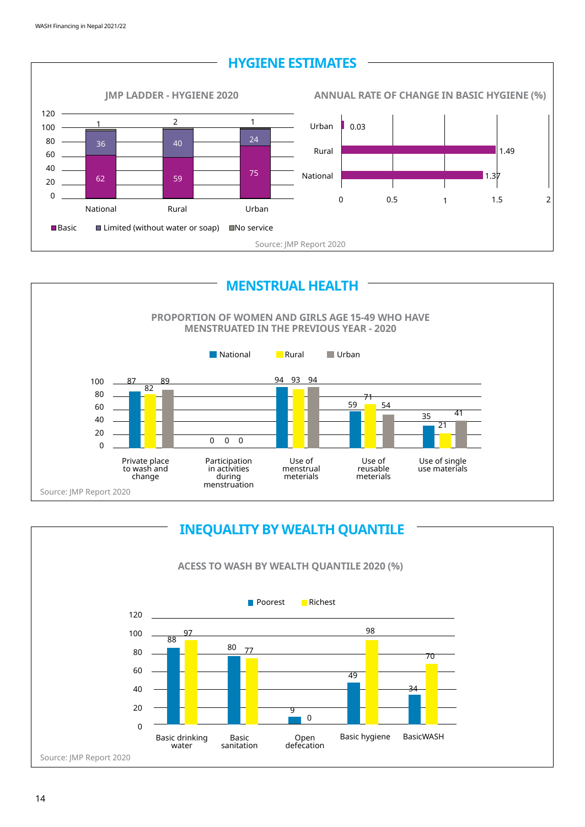





### 14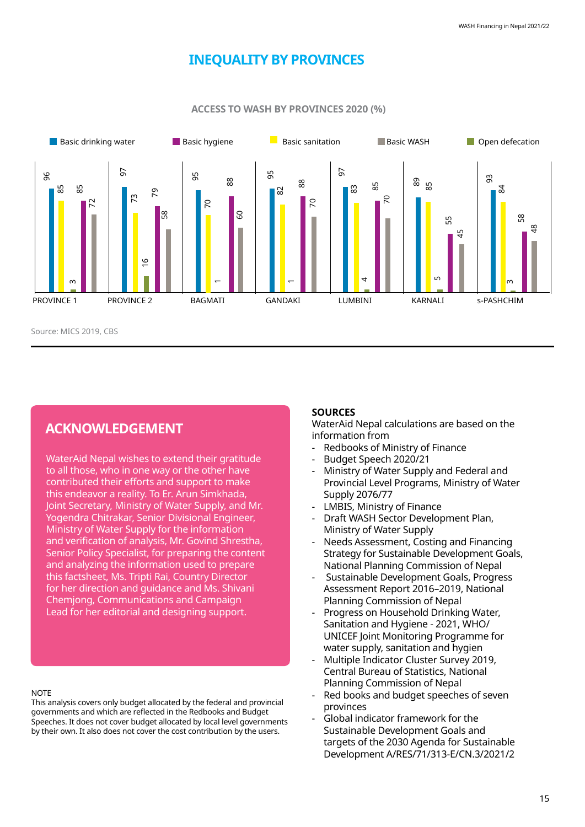## **INEQUALITY BY PROVINCES**



**ACCESS TO WASH BY PROVINCES 2020 (%)**

### **ACKNOWLEDGEMENT**

WaterAid Nepal wishes to extend their gratitude to all those, who in one way or the other have contributed their efforts and support to make this endeavor a reality. To Er. Arun Simkhada, Joint Secretary, Ministry of Water Supply, and Mr. Yogendra Chitrakar, Senior Divisional Engineer, Ministry of Water Supply for the information and verification of analysis, Mr. Govind Shrestha, Senior Policy Specialist, for preparing the content and analyzing the information used to prepare this factsheet, Ms. Tripti Rai, Country Director for her direction and guidance and Ms. Shivani Chemjong, Communications and Campaign Lead for her editorial and designing support.

#### **NOTE**

This analysis covers only budget allocated by the federal and provincial governments and which are reflected in the Redbooks and Budget Speeches. It does not cover budget allocated by local level governments by their own. It also does not cover the cost contribution by the users.

### **SOURCES**

WaterAid Nepal calculations are based on the information from

- Redbooks of Ministry of Finance
- Budget Speech 2020/21
- Ministry of Water Supply and Federal and Provincial Level Programs, Ministry of Water Supply 2076/77
- LMBIS, Ministry of Finance
- Draft WASH Sector Development Plan, Ministry of Water Supply
- Needs Assessment, Costing and Financing Strategy for Sustainable Development Goals, National Planning Commission of Nepal
- Sustainable Development Goals, Progress Assessment Report 2016–2019, National Planning Commission of Nepal
- Progress on Household Drinking Water, Sanitation and Hygiene - 2021, WHO/ UNICEF Joint Monitoring Programme for water supply, sanitation and hygien
- Multiple Indicator Cluster Survey 2019, Central Bureau of Statistics, National Planning Commission of Nepal
- Red books and budget speeches of seven provinces
- Global indicator framework for the Sustainable Development Goals and targets of the 2030 Agenda for Sustainable Development A/RES/71/313-E/CN.3/2021/2